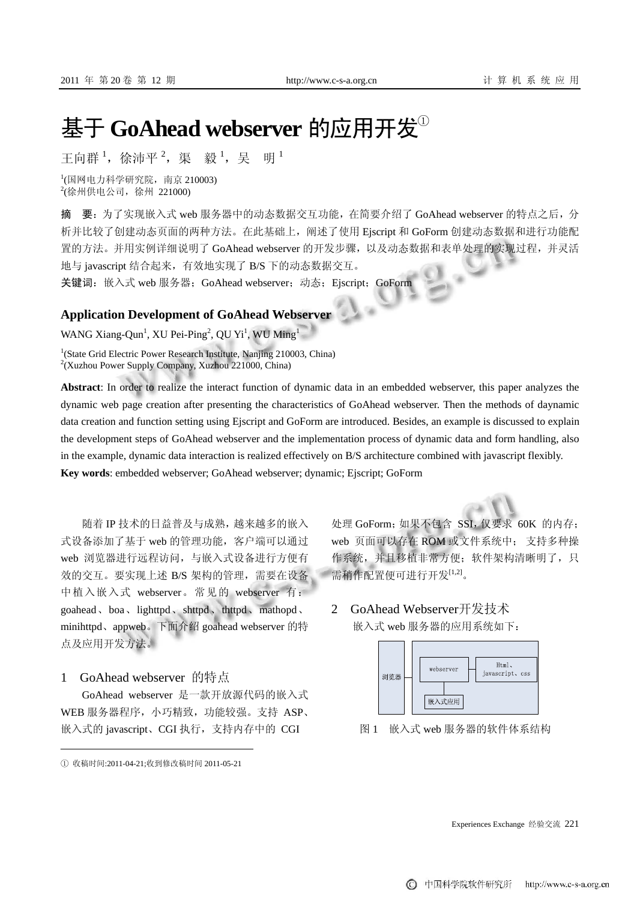# 基于 **GoAhead webserver** 的应用开发①

王向群<sup>1</sup>,徐沛平<sup>2</sup>,渠 毅<sup>1</sup>,吴 明<sup>1</sup>

1(国网电力科学研究院,南京 210003)<br>2c经州供电公司, 经州 221000) (徐州供电公司,徐州 221000)

摘 要:为了实现嵌入式 web 服务器中的动态数据交互功能,在简要介绍了 GoAhead webserver 的特点之后,分 析并比较了创建动态页面的两种方法。在此基础上,阐述了使用 Ejscript 和 GoForm 创建动态数据和进行功能配 置的方法。并用实例详细说明了 GoAhead webserver 的开发步骤,以及动态数据和表单处理的实现过程,并灵活 地与 javascript 结合起来,有效地实现了 B/S 下的动态数据交互。

关键词: 嵌入式 web 服务器; GoAhead webserver; 动态; Ejscript; GoForm

## **Application Development of GoAhead Webserver**

WANG Xiang-Qun<sup>1</sup>, XU Pei-Ping<sup>2</sup>, QU Yi<sup>1</sup>, WU Ming<sup>1</sup>

<sup>1</sup>(State Grid Electric Power Research Institute, Nanjing 210003, China) 2 (Xuzhou Power Supply Company, Xuzhou 221000, China)

**Abstract**: In order to realize the interact function of dynamic data in an embedded webserver, this paper analyzes the dynamic web page creation after presenting the characteristics of GoAhead webserver. Then the methods of daynamic data creation and function setting using Ejscript and GoForm are introduced. Besides, an example is discussed to explain the development steps of GoAhead webserver and the implementation process of dynamic data and form handling, also in the example, dynamic data interaction is realized effectively on B/S architecture combined with javascript flexibly. **Key words**: embedded webserver; GoAhead webserver; dynamic; Ejscript; GoForm

随着 IP 技术的日益普及与成熟,越来越多的嵌入 式设备添加了基于 web 的管理功能, 客户端可以通过 web 浏览器进行远程访问,与嵌入式设备进行方便有 效的交互。要实现上述 B/S 架构的管理,需要在设备 中植入嵌入式 webserver。常见的 webserver 有: goahead、boa、lighttpd、shttpd、thttpd、mathopd、 minihttpd、appweb。下面介绍 goahead webserver 的特 点及应用开发方法。

## 1 GoAhead webserver 的特点

GoAhead webserver 是一款开放源代码的嵌入式 WEB 服务器程序, 小巧精致, 功能较强。支持 ASP、 嵌入式的 javascript、CGI 执行,支持内存中的 CGI

处理 GoForm;如果不包含 SSI,仅要求 60K 的内存; web 页面可以存在 ROM 或文件系统中; 支持多种操 作系统,并且移植非常方便;软件架构清晰明了,只 需稍作配置便可进行开发[1,2]。

## 2 GoAhead Webserver开发技术

嵌入式 web 服务器的应用系统如下:



图 1 嵌入式 web 服务器的软件体系结构

Experiences Exchange 经验交流 221

① 收稿时间:2011-04-21;收到修改稿时间 2011-05-21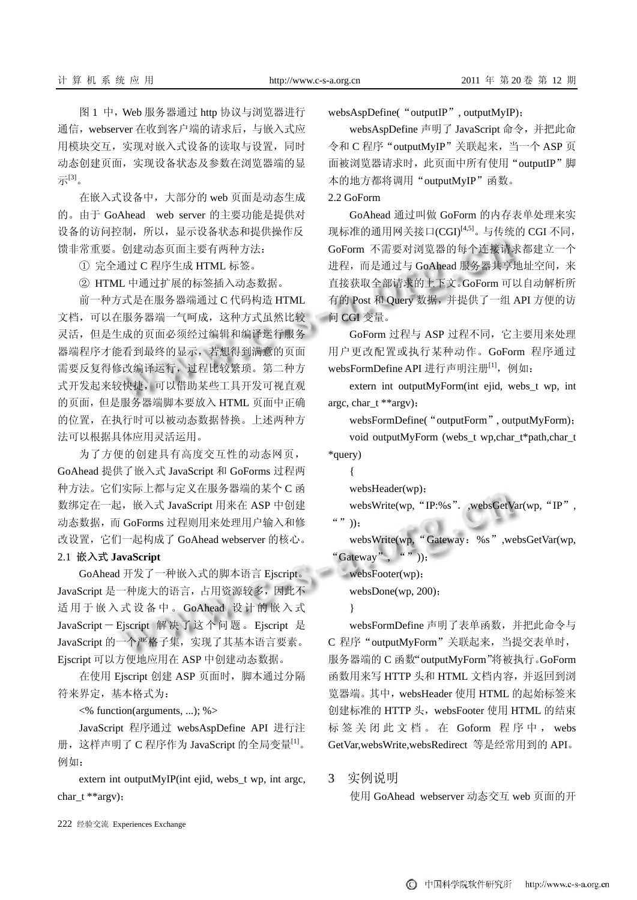图 1 中,Web 服务器通过 http 协议与浏览器进行 通信,webserver 在收到客户端的请求后,与嵌入式应 用模块交互,实现对嵌入式设备的读取与设置,同时 动态创建页面,实现设备状态及参数在浏览器端的显 示[3]。

在嵌入式设备中,大部分的 web 页面是动态生成 的。由于 GoAhead web server 的主要功能是提供对 设备的访问控制,所以,显示设备状态和提供操作反 馈非常重要。创建动态页面主要有两种方法:

① 完全通过 C 程序生成 HTML 标签。

② HTML 中通过扩展的标签插入动态数据。

前一种方式是在服务器端通过 C 代码构造 HTML 文档,可以在服务器端一气呵成,这种方式虽然比较 灵活,但是生成的页面必须经过编辑和编译运行服务 器端程序才能看到最终的显示,若想得到满意的页面 需要反复得修改编译运行,过程比较繁琐。第二种方 式开发起来较快捷,可以借助某些工具开发可视直观 的页面,但是服务器端脚本要放入 HTML 页面中正确 的位置,在执行时可以被动态数据替换。上述两种方 法可以根据具体应用灵活运用。

为了方便的创建具有高度交互性的动态网页, GoAhead 提供了嵌入式 JavaScript 和 GoForms 过程两 种方法。它们实际上都与定义在服务器端的某个 C 函 数绑定在一起,嵌入式 JavaScript 用来在 ASP 中创建 动态数据,而 GoForms 过程则用来处理用户输入和修 改设置,它们一起构成了 GoAhead webserver 的核心。

## 2.1 嵌入式 **JavaScript**

GoAhead 开发了一种嵌入式的脚本语言 Ejscript。 JavaScript 是一种庞大的语言,占用资源较多,因此不 适用于嵌入式设备中。 GoAhead 设计的嵌入式 JavaScript-Ejscript 解决了这个问题。Ejscript 是 JavaScript 的一个严格子集, 实现了其基本语言要素。 Ejscript 可以方便地应用在 ASP 中创建动态数据。

在使用 Ejscript 创建 ASP 页面时, 脚本通过分隔 符来界定,基本格式为:

### <% function(arguments, ...); %>

JavaScript 程序通过 websAspDefine API 进行注 册,这样声明了 C 程序作为 JavaScript 的全局变量[1]。 例如:

extern int outputMyIP(int ejid, webs t wp, int argc, char  $t$  \*\*argv);

222 经验交流 Experiences Exchange

websAspDefine("outputIP", outputMyIP);

websAspDefine 声明了 JavaScript 命令,并把此命 令和 C 程序"outputMyIP"关联起来, 当一个 ASP 页 面被浏览器请求时,此页面中所有使用"outputIP"脚 本的地方都将调用"outputMyIP"函数。

#### 2.2 GoForm

GoAhead 通过叫做 GoForm 的内存表单处理来实 现标准的通用网关接口(CGI)<sup>[4,5]</sup>。与传统的 CGI 不同, GoForm 不需要对浏览器的每个连接请求都建立一个 进程,而是通过与 GoAhead 服务器共享地址空间,来 直接获取全部请求的上下文。GoForm 可以自动解析所 有的 Post 和 Query 数据,并提供了一组 API 方便的访 问 CGI 变量。

GoForm 过程与 ASP 过程不同,它主要用来处理 用户更改配置或执行某种动作。GoForm 程序通过 websFormDefine API 进行声明注册[1], 例如:

extern int outputMyForm(int ejid, webs\_t wp, int argc, char  $t$  \*\*argv);

websFormDefine("outputForm", outputMyForm); void outputMyForm (webs\_t wp,char\_t\*path,char\_t \*query)

{

websHeader(wp);

websWrite(wp, "IP:%s".,websGetVar(wp, "IP",  $\overset{\alpha}{\cdots}$ ));

websWrite(wp, "Gateway: %s",websGetVar(wp, "Gateway", ""));

websFooter(wp);

websDone(wp, 200);

}

websFormDefine 声明了表单函数,并把此命令与 C 程序"outputMyForm"关联起来,当提交表单时, 服务器端的 C 函数"outputMyForm"将被执行。GoForm 函数用来写 HTTP 头和 HTML 文档内容,并返回到浏 览器端。其中,websHeader 使用 HTML 的起始标签来 创建标准的 HTTP 头,websFooter 使用 HTML 的结束 标签关闭此文档。在 Goform 程序中, webs GetVar,websWrite,websRedirect 等是经常用到的 API。

3 实例说明

使用 GoAhead webserver 动态交互 web 页面的开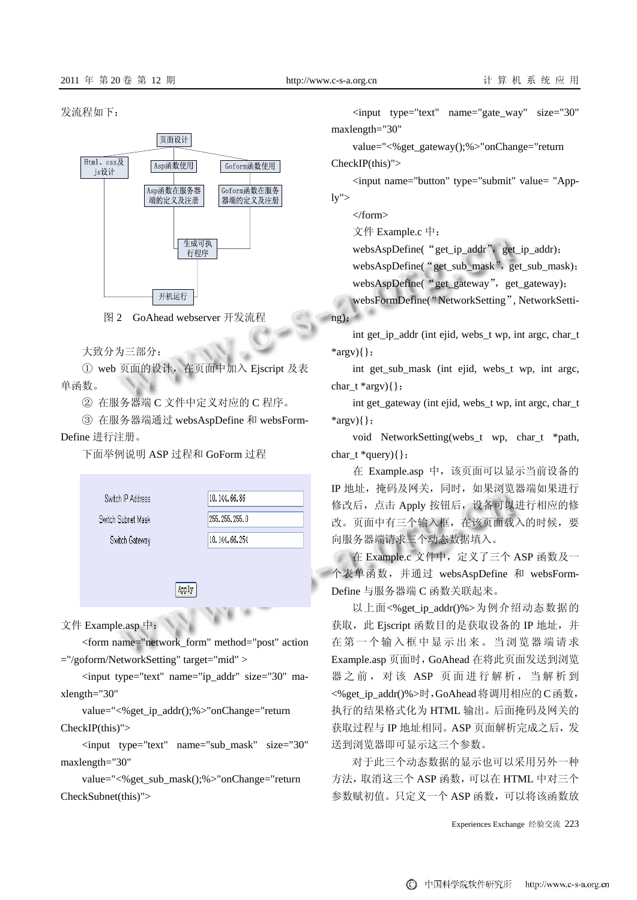发流程如下:



图 2 GoAhead webserver 开发流程

大致分为三部分:

① web 页面的设计,在页面中加入 Ejscript 及表 单函数。

② 在服务器端 C 文件中定义对应的 C 程序。

③ 在服务器端通过 websAspDefine 和 websForm-Define 进行注册。

下面举例说明 ASP 过程和 GoForm 过程



文件 Example.asp 中:

<form name="network\_form" method="post" action ="/goform/NetworkSetting" target="mid" >

<input type="text" name="ip\_addr" size="30" maxlength="30"

value="<%get\_ip\_addr();%>"onChange="return CheckIP(this)">

<input type="text" name="sub\_mask" size="30" maxlength="30"

value="<%get\_sub\_mask();%>"onChange="return CheckSubnet(this)">

 $\langle$ input type="text" name="gate way" size="30" maxlength="30"

value="<%get\_gateway();%>"onChange="return CheckIP(this)">

<input name="button" type="submit" value= "App $lv$ " $>$ 

</form>

文件 Example.c 中:

websAspDefine("get ip\_addr", get ip\_addr);

websAspDefine("get\_sub\_mask", get\_sub\_mask);

websAspDefine("get\_gateway", get\_gateway);

websFormDefine("NetworkSetting", NetworkSetting);

int get\_ip\_addr (int ejid, webs\_t wp, int argc, char\_t  $*$ argy $){}$ :

int get sub mask (int ejid, webs t wp, int argc, char\_t  $*$ argv){};

int get gateway (int ejid, webs t wp, int argc, char t \*argv){};

void NetworkSetting(webs\_t wp, char\_t \*path, char  $t *query$ }{ };

在 Example.asp 中, 该页面可以显示当前设备的 IP 地址,掩码及网关,同时,如果浏览器端如果进行 修改后,点击 Apply 按钮后,设备可以进行相应的修 改。页面中有三个输入框,在该页面载入的时候,要 向服务器端请求三个动态数据填入。

在 Example.c 文件中, 定义了三个 ASP 函数及一 个表单函数,并通过 websAspDefine 和 websForm-Define 与服务器端 C 函数关联起来。

以上面<%get ip\_addr()%>为例介绍动态数据的 获取, 此 Ejscript 函数目的是获取设备的 IP 地址, 并 在第一个输入框中显示出来。当浏览器端请求 Example.asp 页面时,GoAhead 在将此页面发送到浏览 器之前,对该 ASP 页面进行解析,当解析到 <%get\_ip\_addr()%>时,GoAhead将调用相应的C函数, 执行的结果格式化为 HTML 输出。后面掩码及网关的 获取过程与 IP 地址相同。ASP 页面解析完成之后, 发 送到浏览器即可显示这三个参数。

对于此三个动态数据的显示也可以采用另外一种 方法,取消这三个 ASP 函数,可以在 HTML 中对三个 参数赋初值。只定义一个 ASP 函数,可以将该函数放

Experiences Exchange 经验交流 223